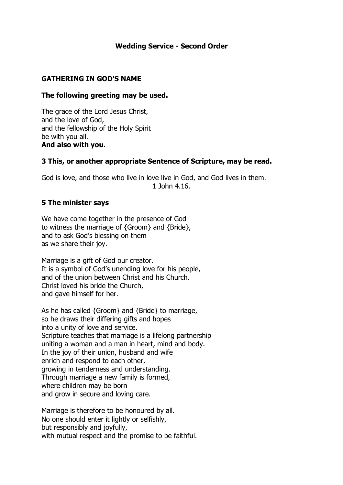### **Wedding Service - Second Order**

### **GATHERING IN GOD'S NAME**

### **The following greeting may be used.**

The grace of the Lord Jesus Christ, and the love of God, and the fellowship of the Holy Spirit be with you all. **And also with you.** 

### **3 This, or another appropriate Sentence of Scripture, may be read.**

God is love, and those who live in love live in God, and God lives in them. 1 John 4.16.

### **5 The minister says**

We have come together in the presence of God to witness the marriage of {Groom} and {Bride}, and to ask God's blessing on them as we share their joy.

Marriage is a gift of God our creator. It is a symbol of God's unending love for his people, and of the union between Christ and his Church. Christ loved his bride the Church, and gave himself for her.

As he has called {Groom} and {Bride} to marriage, so he draws their differing gifts and hopes into a unity of love and service. Scripture teaches that marriage is a lifelong partnership uniting a woman and a man in heart, mind and body. In the joy of their union, husband and wife enrich and respond to each other, growing in tenderness and understanding. Through marriage a new family is formed, where children may be born and grow in secure and loving care.

Marriage is therefore to be honoured by all. No one should enter it lightly or selfishly, but responsibly and joyfully, with mutual respect and the promise to be faithful.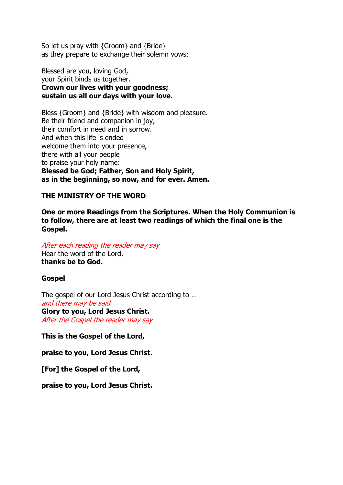So let us pray with {Groom} and {Bride} as they prepare to exchange their solemn vows:

Blessed are you, loving God, your Spirit binds us together. **Crown our lives with your goodness; sustain us all our days with your love.** 

Bless {Groom} and {Bride} with wisdom and pleasure. Be their friend and companion in joy, their comfort in need and in sorrow. And when this life is ended welcome them into your presence, there with all your people to praise your holy name: **Blessed be God; Father, Son and Holy Spirit, as in the beginning, so now, and for ever. Amen.** 

#### **THE MINISTRY OF THE WORD**

**One or more Readings from the Scriptures. When the Holy Communion is to follow, there are at least two readings of which the final one is the Gospel.**

After each reading the reader may say Hear the word of the Lord, **thanks be to God.** 

#### **Gospel**

The gospel of our Lord Jesus Christ according to … and there may be said **Glory to you, Lord Jesus Christ.**  After the Gospel the reader may say

**This is the Gospel of the Lord,**

**praise to you, Lord Jesus Christ.** 

**[For] the Gospel of the Lord,**

**praise to you, Lord Jesus Christ.**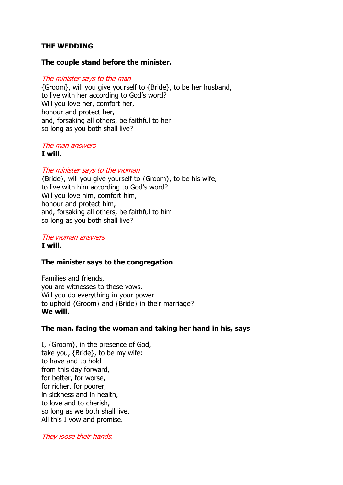### **THE WEDDING**

#### **The couple stand before the minister.**

#### The minister says to the man

{Groom}, will you give yourself to {Bride}, to be her husband, to live with her according to God's word? Will you love her, comfort her, honour and protect her, and, forsaking all others, be faithful to her so long as you both shall live?

# The man answers

**I will.** 

#### The minister says to the woman

{Bride}, will you give yourself to {Groom}, to be his wife, to live with him according to God's word? Will you love him, comfort him, honour and protect him, and, forsaking all others, be faithful to him so long as you both shall live?

#### The woman answers **I will.**

#### **The minister says to the congregation**

Families and friends, you are witnesses to these vows. Will you do everything in your power to uphold {Groom} and {Bride} in their marriage? **We will.** 

#### **The man, facing the woman and taking her hand in his, says**

I, {Groom}, in the presence of God, take you, {Bride}, to be my wife: to have and to hold from this day forward, for better, for worse, for richer, for poorer, in sickness and in health, to love and to cherish, so long as we both shall live. All this I vow and promise.

They loose their hands.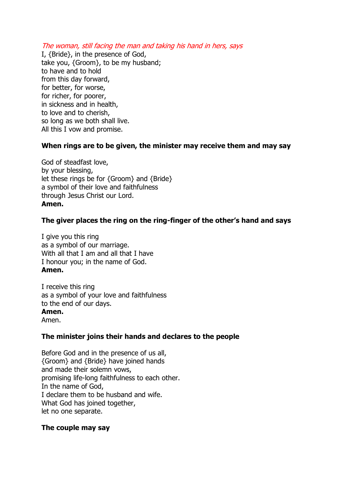The woman, still facing the man and taking his hand in hers, says

I, {Bride}, in the presence of God, take you, {Groom}, to be my husband; to have and to hold from this day forward, for better, for worse, for richer, for poorer, in sickness and in health, to love and to cherish, so long as we both shall live. All this I vow and promise.

### **When rings are to be given, the minister may receive them and may say**

God of steadfast love, by your blessing, let these rings be for {Groom} and {Bride} a symbol of their love and faithfulness through Jesus Christ our Lord. **Amen.**

### **The giver places the ring on the ring-finger of the other's hand and says**

I give you this ring as a symbol of our marriage. With all that I am and all that I have I honour you; in the name of God. **Amen.**

I receive this ring as a symbol of your love and faithfulness to the end of our days.

### **Amen.**

Amen.

### **The minister joins their hands and declares to the people**

Before God and in the presence of us all, {Groom} and {Bride} have joined hands and made their solemn vows, promising life-long faithfulness to each other. In the name of God, I declare them to be husband and wife. What God has joined together, let no one separate.

#### **The couple may say**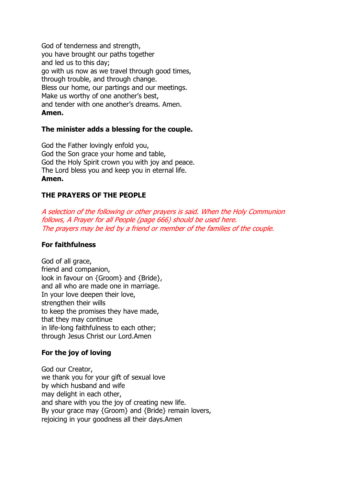God of tenderness and strength, you have brought our paths together and led us to this day; go with us now as we travel through good times, through trouble, and through change. Bless our home, our partings and our meetings. Make us worthy of one another's best, and tender with one another's dreams. Amen. **Amen.**

### **The minister adds a blessing for the couple.**

God the Father lovingly enfold you, God the Son grace your home and table, God the Holy Spirit crown you with joy and peace. The Lord bless you and keep you in eternal life. **Amen.**

### **THE PRAYERS OF THE PEOPLE**

A selection of the following or other prayers is said. When the Holy Communion follows, A Prayer for all People (page 666) should be used here. The prayers may be led by a friend or member of the families of the couple.

#### **For faithfulness**

God of all grace, friend and companion, look in favour on {Groom} and {Bride}, and all who are made one in marriage. In your love deepen their love, strengthen their wills to keep the promises they have made, that they may continue in life-long faithfulness to each other; through Jesus Christ our Lord.Amen

### **For the joy of loving**

God our Creator, we thank you for your gift of sexual love by which husband and wife may delight in each other, and share with you the joy of creating new life. By your grace may {Groom} and {Bride} remain lovers, rejoicing in your goodness all their days. Amen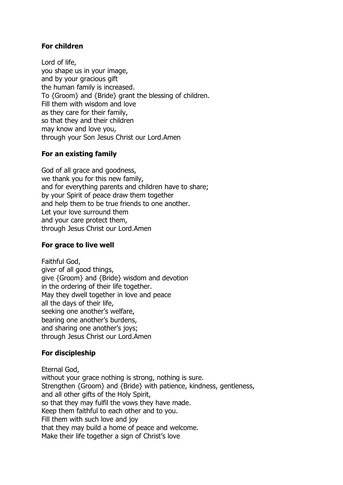# **For children**

Lord of life, you shape us in your image, and by your gracious gift the human family is increased. To {Groom} and {Bride} grant the blessing of children. Fill them with wisdom and love as they care for their family, so that they and their children may know and love you, through your Son Jesus Christ our Lord.Amen

# **For an existing family**

God of all grace and goodness, we thank you for this new family, and for everything parents and children have to share; by your Spirit of peace draw them together and help them to be true friends to one another. Let your love surround them and your care protect them, through Jesus Christ our Lord.Amen

### **For grace to live well**

Faithful God, giver of all good things, give {Groom} and {Bride} wisdom and devotion in the ordering of their life together. May they dwell together in love and peace all the days of their life, seeking one another's welfare, bearing one another's burdens, and sharing one another's joys; through Jesus Christ our Lord.Amen

### **For discipleship**

Eternal God, without your grace nothing is strong, nothing is sure. Strengthen {Groom} and {Bride} with patience, kindness, gentleness, and all other gifts of the Holy Spirit, so that they may fulfil the vows they have made. Keep them faithful to each other and to you. Fill them with such love and joy that they may build a home of peace and welcome. Make their life together a sign of Christ's love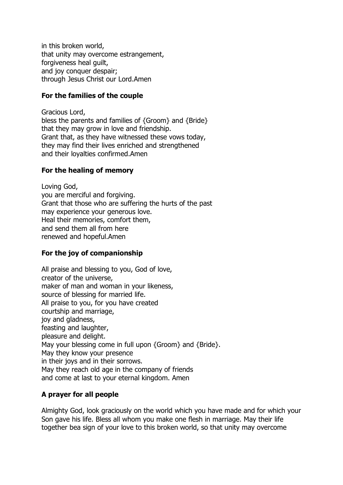in this broken world, that unity may overcome estrangement, forgiveness heal quilt. and joy conquer despair; through Jesus Christ our Lord.Amen

### **For the families of the couple**

Gracious Lord, bless the parents and families of {Groom} and {Bride} that they may grow in love and friendship. Grant that, as they have witnessed these vows today, they may find their lives enriched and strengthened and their loyalties confirmed.Amen

# **For the healing of memory**

Loving God, you are merciful and forgiving. Grant that those who are suffering the hurts of the past may experience your generous love. Heal their memories, comfort them, and send them all from here renewed and hopeful.Amen

# **For the joy of companionship**

All praise and blessing to you, God of love, creator of the universe, maker of man and woman in your likeness, source of blessing for married life. All praise to you, for you have created courtship and marriage, joy and gladness, feasting and laughter, pleasure and delight. May your blessing come in full upon {Groom} and {Bride}. May they know your presence in their joys and in their sorrows. May they reach old age in the company of friends and come at last to your eternal kingdom. Amen

# **A prayer for all people**

Almighty God, look graciously on the world which you have made and for which your Son gave his life. Bless all whom you make one flesh in marriage. May their life together bea sign of your love to this broken world, so that unity may overcome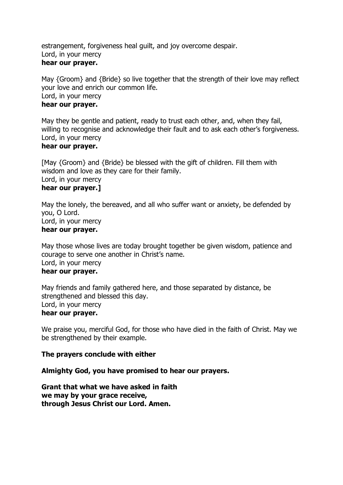estrangement, forgiveness heal guilt, and joy overcome despair. Lord, in your mercy **hear our prayer.** 

May {Groom} and {Bride} so live together that the strength of their love may reflect your love and enrich our common life. Lord, in your mercy **hear our prayer.** 

May they be gentle and patient, ready to trust each other, and, when they fail, willing to recognise and acknowledge their fault and to ask each other's forgiveness. Lord, in your mercy

### **hear our prayer.**

[May {Groom} and {Bride} be blessed with the gift of children. Fill them with wisdom and love as they care for their family. Lord, in your mercy **hear our prayer.]** 

May the lonely, the bereaved, and all who suffer want or anxiety, be defended by you, O Lord. Lord, in your mercy **hear our prayer.** 

May those whose lives are today brought together be given wisdom, patience and courage to serve one another in Christ's name. Lord, in your mercy **hear our prayer.** 

May friends and family gathered here, and those separated by distance, be strengthened and blessed this day. Lord, in your mercy **hear our prayer.** 

We praise you, merciful God, for those who have died in the faith of Christ. May we be strengthened by their example.

#### **The prayers conclude with either**

#### **Almighty God, you have promised to hear our prayers.**

**Grant that what we have asked in faith we may by your grace receive, through Jesus Christ our Lord. Amen.**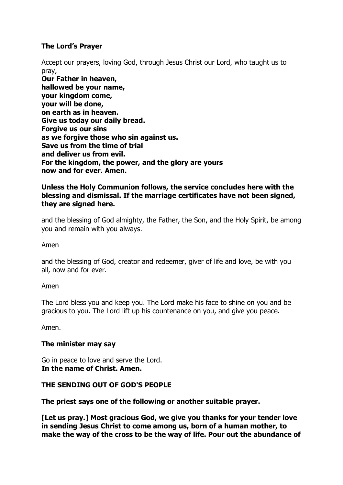# **The Lord's Prayer**

Accept our prayers, loving God, through Jesus Christ our Lord, who taught us to pray,

**Our Father in heaven, hallowed be your name, your kingdom come, your will be done, on earth as in heaven. Give us today our daily bread. Forgive us our sins as we forgive those who sin against us. Save us from the time of trial and deliver us from evil. For the kingdom, the power, and the glory are yours now and for ever. Amen.**

### **Unless the Holy Communion follows, the service concludes here with the blessing and dismissal. If the marriage certificates have not been signed, they are signed here.**

and the blessing of God almighty, the Father, the Son, and the Holy Spirit, be among you and remain with you always.

Amen

and the blessing of God, creator and redeemer, giver of life and love, be with you all, now and for ever.

#### Amen

The Lord bless you and keep you. The Lord make his face to shine on you and be gracious to you. The Lord lift up his countenance on you, and give you peace.

Amen.

#### **The minister may say**

Go in peace to love and serve the Lord. **In the name of Christ. Amen.** 

#### **THE SENDING OUT OF GOD'S PEOPLE**

**The priest says one of the following or another suitable prayer.**

**[Let us pray.] Most gracious God, we give you thanks for your tender love in sending Jesus Christ to come among us, born of a human mother, to make the way of the cross to be the way of life. Pour out the abundance of**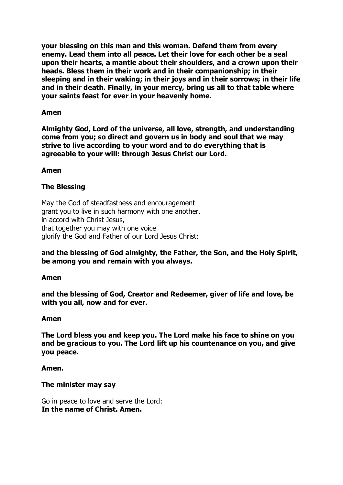**your blessing on this man and this woman. Defend them from every enemy. Lead them into all peace. Let their love for each other be a seal upon their hearts, a mantle about their shoulders, and a crown upon their heads. Bless them in their work and in their companionship; in their sleeping and in their waking; in their joys and in their sorrows; in their life and in their death. Finally, in your mercy, bring us all to that table where your saints feast for ever in your heavenly home.**

### **Amen**

**Almighty God, Lord of the universe, all love, strength, and understanding come from you; so direct and govern us in body and soul that we may strive to live according to your word and to do everything that is agreeable to your will: through Jesus Christ our Lord.**

### **Amen**

### **The Blessing**

May the God of steadfastness and encouragement grant you to live in such harmony with one another, in accord with Christ Jesus, that together you may with one voice glorify the God and Father of our Lord Jesus Christ:

### **and the blessing of God almighty, the Father, the Son, and the Holy Spirit, be among you and remain with you always.**

#### **Amen**

**and the blessing of God, Creator and Redeemer, giver of life and love, be with you all, now and for ever.**

#### **Amen**

**The Lord bless you and keep you. The Lord make his face to shine on you and be gracious to you. The Lord lift up his countenance on you, and give you peace.**

#### **Amen.**

#### **The minister may say**

Go in peace to love and serve the Lord: **In the name of Christ. Amen.**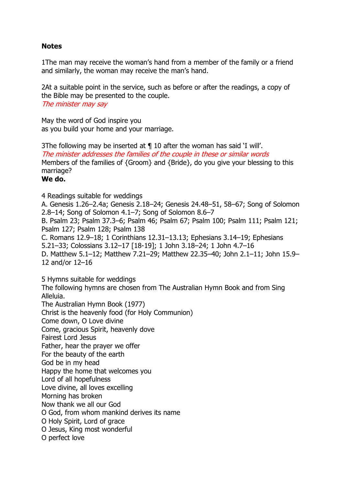### **Notes**

1The man may receive the woman's hand from a member of the family or a friend and similarly, the woman may receive the man's hand.

2At a suitable point in the service, such as before or after the readings, a copy of the Bible may be presented to the couple. The minister may say

May the word of God inspire you as you build your home and your marriage.

3The following may be inserted at ¶ 10 after the woman has said 'I will'. The minister addresses the families of the couple in these or similar words Members of the families of {Groom} and {Bride}, do you give your blessing to this marriage?

#### **We do.**

4 Readings suitable for weddings A. Genesis 1.26–2.4a; Genesis 2.18–24; Genesis 24.48–51, 58–67; Song of Solomon 2.8–14; Song of Solomon 4.1–7; Song of Solomon 8.6–7 B. Psalm 23; Psalm 37.3–6; Psalm 46; Psalm 67; Psalm 100; Psalm 111; Psalm 121; Psalm 127; Psalm 128; Psalm 138 C. Romans 12.9–18; 1 Corinthians 12.31–13.13; Ephesians 3.14–19; Ephesians 5.21–33; Colossians 3.12–17 [18-19]; 1 John 3.18–24; 1 John 4.7–16 D. Matthew 5.1–12; Matthew 7.21–29; Matthew 22.35–40; John 2.1–11; John 15.9– 12 and/or 12–16

5 Hymns suitable for weddings The following hymns are chosen from The Australian Hymn Book and from Sing Alleluia. The Australian Hymn Book (1977) Christ is the heavenly food (for Holy Communion) Come down, O Love divine Come, gracious Spirit, heavenly dove Fairest Lord Jesus Father, hear the prayer we offer For the beauty of the earth God be in my head Happy the home that welcomes you Lord of all hopefulness Love divine, all loves excelling Morning has broken Now thank we all our God O God, from whom mankind derives its name O Holy Spirit, Lord of grace

O Jesus, King most wonderful

O perfect love